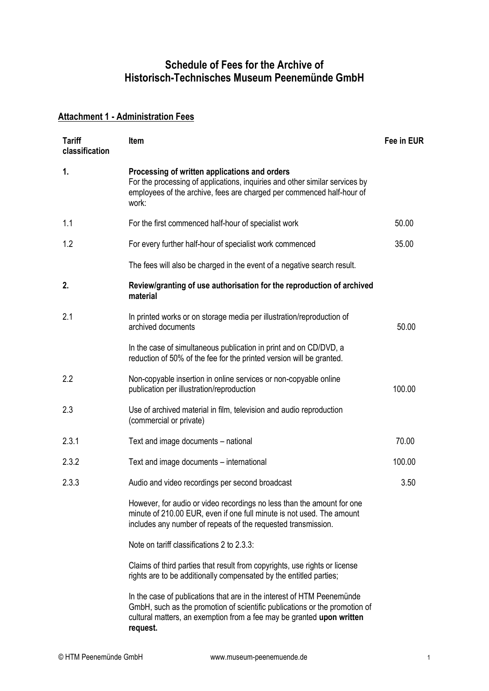## **Schedule of Fees for the Archive of Historisch-Technisches Museum Peenemünde GmbH**

## **Attachment 1 - Administration Fees**

| <b>Tariff</b><br>classification | <b>Item</b>                                                                                                                                                                                                                   | Fee in EUR |
|---------------------------------|-------------------------------------------------------------------------------------------------------------------------------------------------------------------------------------------------------------------------------|------------|
| $\mathbf{1}$ .                  | Processing of written applications and orders<br>For the processing of applications, inquiries and other similar services by<br>employees of the archive, fees are charged per commenced half-hour of<br>work:                |            |
| 1.1                             | For the first commenced half-hour of specialist work                                                                                                                                                                          | 50.00      |
| 1.2                             | For every further half-hour of specialist work commenced                                                                                                                                                                      | 35.00      |
|                                 | The fees will also be charged in the event of a negative search result.                                                                                                                                                       |            |
| 2.                              | Review/granting of use authorisation for the reproduction of archived<br>material                                                                                                                                             |            |
| 2.1                             | In printed works or on storage media per illustration/reproduction of<br>archived documents                                                                                                                                   | 50.00      |
|                                 | In the case of simultaneous publication in print and on CD/DVD, a<br>reduction of 50% of the fee for the printed version will be granted.                                                                                     |            |
| 2.2                             | Non-copyable insertion in online services or non-copyable online<br>publication per illustration/reproduction                                                                                                                 | 100.00     |
| 2.3                             | Use of archived material in film, television and audio reproduction<br>(commercial or private)                                                                                                                                |            |
| 2.3.1                           | Text and image documents - national                                                                                                                                                                                           | 70.00      |
| 2.3.2                           | Text and image documents – international                                                                                                                                                                                      | 100.00     |
| 2.3.3                           | Audio and video recordings per second broadcast                                                                                                                                                                               | 3.50       |
|                                 | However, for audio or video recordings no less than the amount for one<br>minute of 210.00 EUR, even if one full minute is not used. The amount<br>includes any number of repeats of the requested transmission.              |            |
|                                 | Note on tariff classifications 2 to 2.3.3:                                                                                                                                                                                    |            |
|                                 | Claims of third parties that result from copyrights, use rights or license<br>rights are to be additionally compensated by the entitled parties;                                                                              |            |
|                                 | In the case of publications that are in the interest of HTM Peenemunde<br>GmbH, such as the promotion of scientific publications or the promotion of<br>cultural matters, an exemption from a fee may be granted upon written |            |

**request.**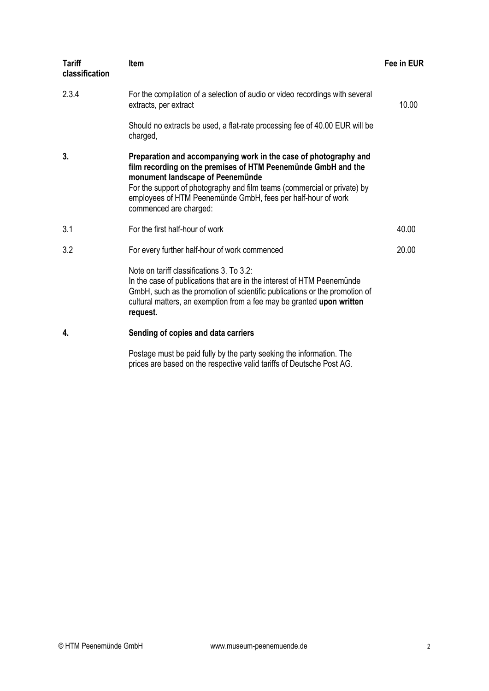| <b>Tariff</b><br>classification | <b>Item</b>                                                                                                                                                                                                                                                                                                                                 | Fee in EUR |
|---------------------------------|---------------------------------------------------------------------------------------------------------------------------------------------------------------------------------------------------------------------------------------------------------------------------------------------------------------------------------------------|------------|
| 2.3.4                           | For the compilation of a selection of audio or video recordings with several<br>extracts, per extract                                                                                                                                                                                                                                       | 10.00      |
|                                 | Should no extracts be used, a flat-rate processing fee of 40.00 EUR will be<br>charged,                                                                                                                                                                                                                                                     |            |
| 3.                              | Preparation and accompanying work in the case of photography and<br>film recording on the premises of HTM Peenemünde GmbH and the<br>monument landscape of Peenemünde<br>For the support of photography and film teams (commercial or private) by<br>employees of HTM Peenemünde GmbH, fees per half-hour of work<br>commenced are charged: |            |
| 3.1                             | For the first half-hour of work                                                                                                                                                                                                                                                                                                             | 40.00      |
| 3.2                             | For every further half-hour of work commenced                                                                                                                                                                                                                                                                                               | 20.00      |
|                                 | Note on tariff classifications 3. To 3.2:<br>In the case of publications that are in the interest of HTM Peenemünde<br>GmbH, such as the promotion of scientific publications or the promotion of<br>cultural matters, an exemption from a fee may be granted upon written<br>request.                                                      |            |
| 4.                              | Sending of copies and data carriers                                                                                                                                                                                                                                                                                                         |            |

Postage must be paid fully by the party seeking the information. The prices are based on the respective valid tariffs of Deutsche Post AG.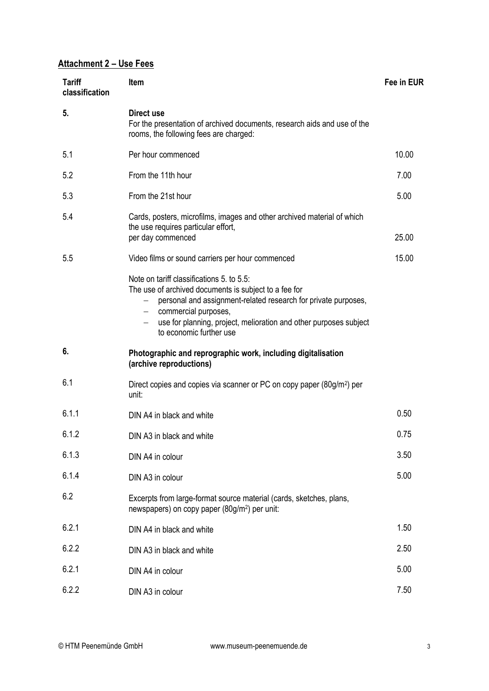## **Attachment 2 – Use Fees**

| <b>Tariff</b><br>classification | <b>Item</b>                                                                                                                                                                                                                                                                                           | Fee in EUR |
|---------------------------------|-------------------------------------------------------------------------------------------------------------------------------------------------------------------------------------------------------------------------------------------------------------------------------------------------------|------------|
| 5.                              | Direct use<br>For the presentation of archived documents, research aids and use of the<br>rooms, the following fees are charged:                                                                                                                                                                      |            |
| 5.1                             | Per hour commenced                                                                                                                                                                                                                                                                                    | 10.00      |
| 5.2                             | From the 11th hour                                                                                                                                                                                                                                                                                    | 7.00       |
| 5.3                             | From the 21st hour                                                                                                                                                                                                                                                                                    | 5.00       |
| 5.4                             | Cards, posters, microfilms, images and other archived material of which<br>the use requires particular effort,<br>per day commenced                                                                                                                                                                   | 25.00      |
| 5.5                             | Video films or sound carriers per hour commenced                                                                                                                                                                                                                                                      | 15.00      |
|                                 | Note on tariff classifications 5, to 5.5:<br>The use of archived documents is subject to a fee for<br>personal and assignment-related research for private purposes,<br>commercial purposes,<br>$ \,$<br>use for planning, project, melioration and other purposes subject<br>to economic further use |            |
| 6.                              | Photographic and reprographic work, including digitalisation<br>(archive reproductions)                                                                                                                                                                                                               |            |
| 6.1                             | Direct copies and copies via scanner or PC on copy paper (80g/m <sup>2</sup> ) per<br>unit:                                                                                                                                                                                                           |            |
| 6.1.1                           | DIN A4 in black and white                                                                                                                                                                                                                                                                             | 0.50       |
| 6.1.2                           | DIN A3 in black and white                                                                                                                                                                                                                                                                             | 0.75       |
| 6.1.3                           | DIN A4 in colour                                                                                                                                                                                                                                                                                      | 3.50       |
| 6.1.4                           | DIN A3 in colour                                                                                                                                                                                                                                                                                      | 5.00       |
| 6.2                             | Excerpts from large-format source material (cards, sketches, plans,<br>newspapers) on copy paper (80g/m <sup>2</sup> ) per unit:                                                                                                                                                                      |            |
| 6.2.1                           | DIN A4 in black and white                                                                                                                                                                                                                                                                             | 1.50       |
| 6.2.2                           | DIN A3 in black and white                                                                                                                                                                                                                                                                             | 2.50       |
| 6.2.1                           | DIN A4 in colour                                                                                                                                                                                                                                                                                      | 5.00       |
| 6.2.2                           | DIN A3 in colour                                                                                                                                                                                                                                                                                      | 7.50       |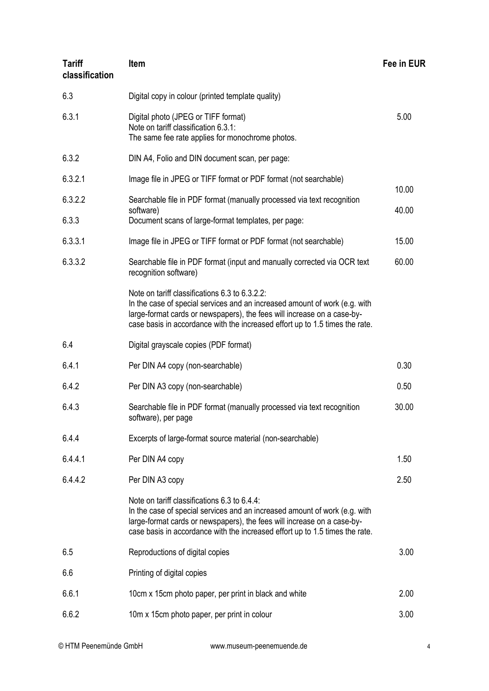| <b>Tariff</b><br>classification | <b>Item</b>                                                                                                                                                                                                                                                                             | Fee in EUR     |
|---------------------------------|-----------------------------------------------------------------------------------------------------------------------------------------------------------------------------------------------------------------------------------------------------------------------------------------|----------------|
| 6.3                             | Digital copy in colour (printed template quality)                                                                                                                                                                                                                                       |                |
| 6.3.1                           | Digital photo (JPEG or TIFF format)<br>Note on tariff classification 6.3.1:<br>The same fee rate applies for monochrome photos.                                                                                                                                                         | 5.00           |
| 6.3.2                           | DIN A4, Folio and DIN document scan, per page:                                                                                                                                                                                                                                          |                |
| 6.3.2.1                         | Image file in JPEG or TIFF format or PDF format (not searchable)                                                                                                                                                                                                                        |                |
| 6.3.2.2<br>6.3.3                | Searchable file in PDF format (manually processed via text recognition<br>software)<br>Document scans of large-format templates, per page:                                                                                                                                              | 10.00<br>40.00 |
| 6.3.3.1                         | Image file in JPEG or TIFF format or PDF format (not searchable)                                                                                                                                                                                                                        | 15.00          |
| 6.3.3.2                         | Searchable file in PDF format (input and manually corrected via OCR text<br>recognition software)                                                                                                                                                                                       | 60.00          |
|                                 | Note on tariff classifications 6.3 to 6.3.2.2:<br>In the case of special services and an increased amount of work (e.g. with<br>large-format cards or newspapers), the fees will increase on a case-by-<br>case basis in accordance with the increased effort up to 1.5 times the rate. |                |
| 6.4                             | Digital grayscale copies (PDF format)                                                                                                                                                                                                                                                   |                |
| 6.4.1                           | Per DIN A4 copy (non-searchable)                                                                                                                                                                                                                                                        | 0.30           |
| 6.4.2                           | Per DIN A3 copy (non-searchable)                                                                                                                                                                                                                                                        | 0.50           |
| 6.4.3                           | Searchable file in PDF format (manually processed via text recognition<br>software), per page                                                                                                                                                                                           | 30.00          |
| 6.4.4                           | Excerpts of large-format source material (non-searchable)                                                                                                                                                                                                                               |                |
| 6.4.4.1                         | Per DIN A4 copy                                                                                                                                                                                                                                                                         | 1.50           |
| 6.4.4.2                         | Per DIN A3 copy                                                                                                                                                                                                                                                                         | 2.50           |
|                                 | Note on tariff classifications 6.3 to 6.4.4:<br>In the case of special services and an increased amount of work (e.g. with<br>large-format cards or newspapers), the fees will increase on a case-by-<br>case basis in accordance with the increased effort up to 1.5 times the rate.   |                |
| 6.5                             | Reproductions of digital copies                                                                                                                                                                                                                                                         | 3.00           |
| 6.6                             | Printing of digital copies                                                                                                                                                                                                                                                              |                |
| 6.6.1                           | 10cm x 15cm photo paper, per print in black and white                                                                                                                                                                                                                                   | 2.00           |
| 6.6.2                           | 10m x 15cm photo paper, per print in colour                                                                                                                                                                                                                                             | 3.00           |